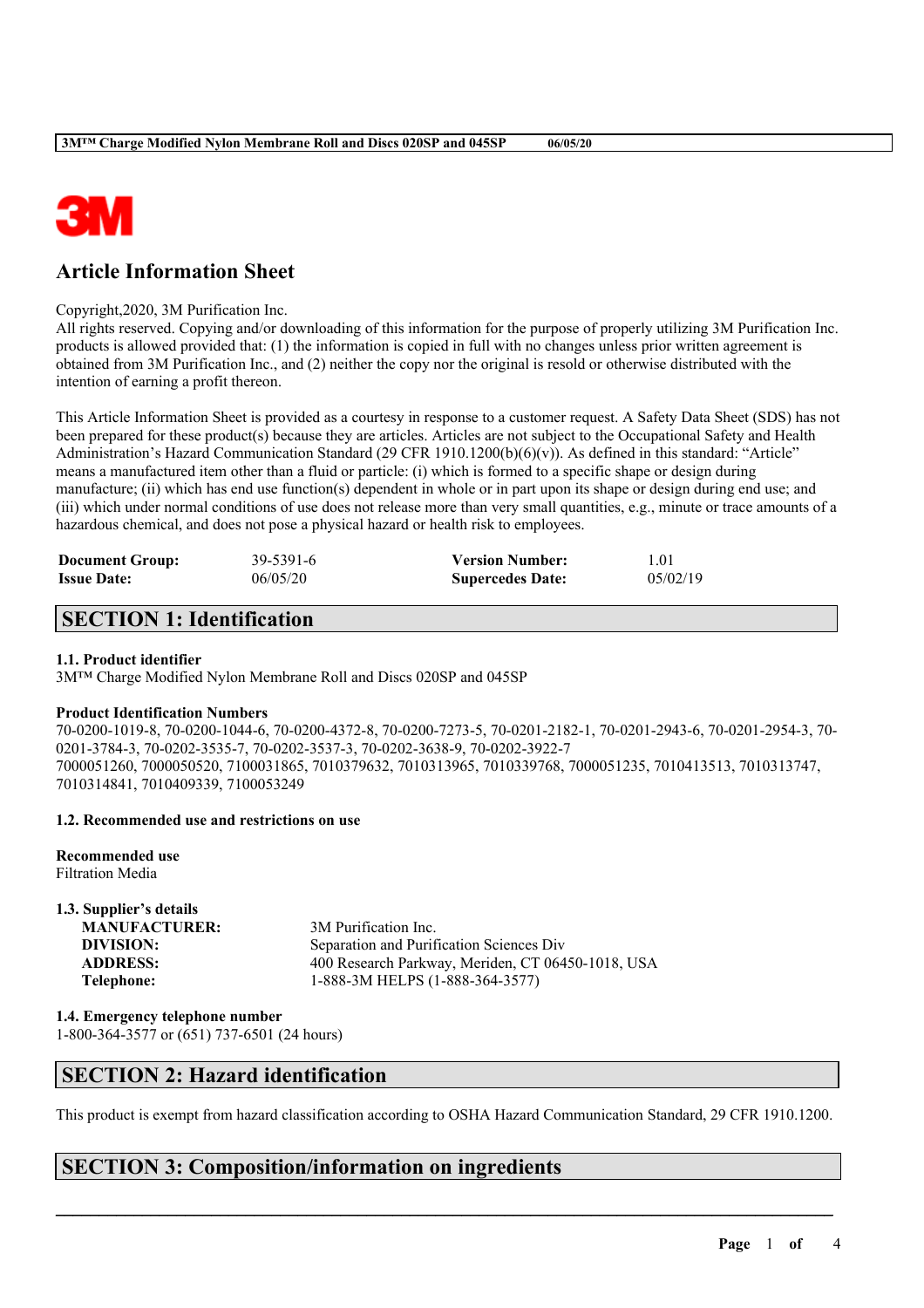

# **Article Information Sheet**

Copyright,2020, 3M Purification Inc.

All rights reserved. Copying and/or downloading of this information for the purpose of properly utilizing 3M Purification Inc. products is allowed provided that: (1) the information is copied in full with no changes unless prior written agreement is obtained from 3M Purification Inc., and (2) neither the copy nor the original is resold or otherwise distributed with the intention of earning a profit thereon.

This Article Information Sheet is provided as a courtesy in response to a customer request. A Safety Data Sheet (SDS) has not been prepared for these product(s) because they are articles. Articles are not subject to the Occupational Safety and Health Administration's Hazard Communication Standard (29 CFR 1910.1200(b)(6)(v)). As defined in this standard: "Article" means a manufactured item other than a fluid or particle: (i) which is formed to a specific shape or design during manufacture; (ii) which has end use function(s) dependent in whole or in part upon its shape or design during end use; and (iii) which under normal conditions of use does not release more than very small quantities, e.g., minute or trace amounts of a hazardous chemical, and does not pose a physical hazard or health risk to employees.

| <b>Document Group:</b> | 39-5391-6 | <b>Version Number:</b>  | 1.01     |
|------------------------|-----------|-------------------------|----------|
| <b>Issue Date:</b>     | 06/05/20  | <b>Supercedes Date:</b> | 05/02/19 |

### **SECTION 1: Identification**

#### **1.1. Product identifier**

3M™ Charge Modified Nylon Membrane Roll and Discs 020SP and 045SP

#### **Product Identification Numbers**

70-0200-1019-8, 70-0200-1044-6, 70-0200-4372-8, 70-0200-7273-5, 70-0201-2182-1, 70-0201-2943-6, 70-0201-2954-3, 70- 0201-3784-3, 70-0202-3535-7, 70-0202-3537-3, 70-0202-3638-9, 70-0202-3922-7 7000051260, 7000050520, 7100031865, 7010379632, 7010313965, 7010339768, 7000051235, 7010413513, 7010313747, 7010314841, 7010409339, 7100053249

#### **1.2. Recommended use and restrictions on use**

**Recommended use** Filtration Media

**1.3. Supplier's details MANUFACTURER:** 3M Purification Inc. **DIVISION:** Separation and Purification Sciences Div **ADDRESS:** 400 Research Parkway, Meriden, CT 06450-1018, USA **Telephone:** 1-888-3M HELPS (1-888-364-3577)

**1.4. Emergency telephone number** 1-800-364-3577 or (651) 737-6501 (24 hours)

### **SECTION 2: Hazard identification**

This product is exempt from hazard classification according to OSHA Hazard Communication Standard, 29 CFR 1910.1200.

 $\mathcal{L}_\mathcal{L} = \mathcal{L}_\mathcal{L} = \mathcal{L}_\mathcal{L} = \mathcal{L}_\mathcal{L} = \mathcal{L}_\mathcal{L} = \mathcal{L}_\mathcal{L} = \mathcal{L}_\mathcal{L} = \mathcal{L}_\mathcal{L} = \mathcal{L}_\mathcal{L} = \mathcal{L}_\mathcal{L} = \mathcal{L}_\mathcal{L} = \mathcal{L}_\mathcal{L} = \mathcal{L}_\mathcal{L} = \mathcal{L}_\mathcal{L} = \mathcal{L}_\mathcal{L} = \mathcal{L}_\mathcal{L} = \mathcal{L}_\mathcal{L}$ 

## **SECTION 3: Composition/information on ingredients**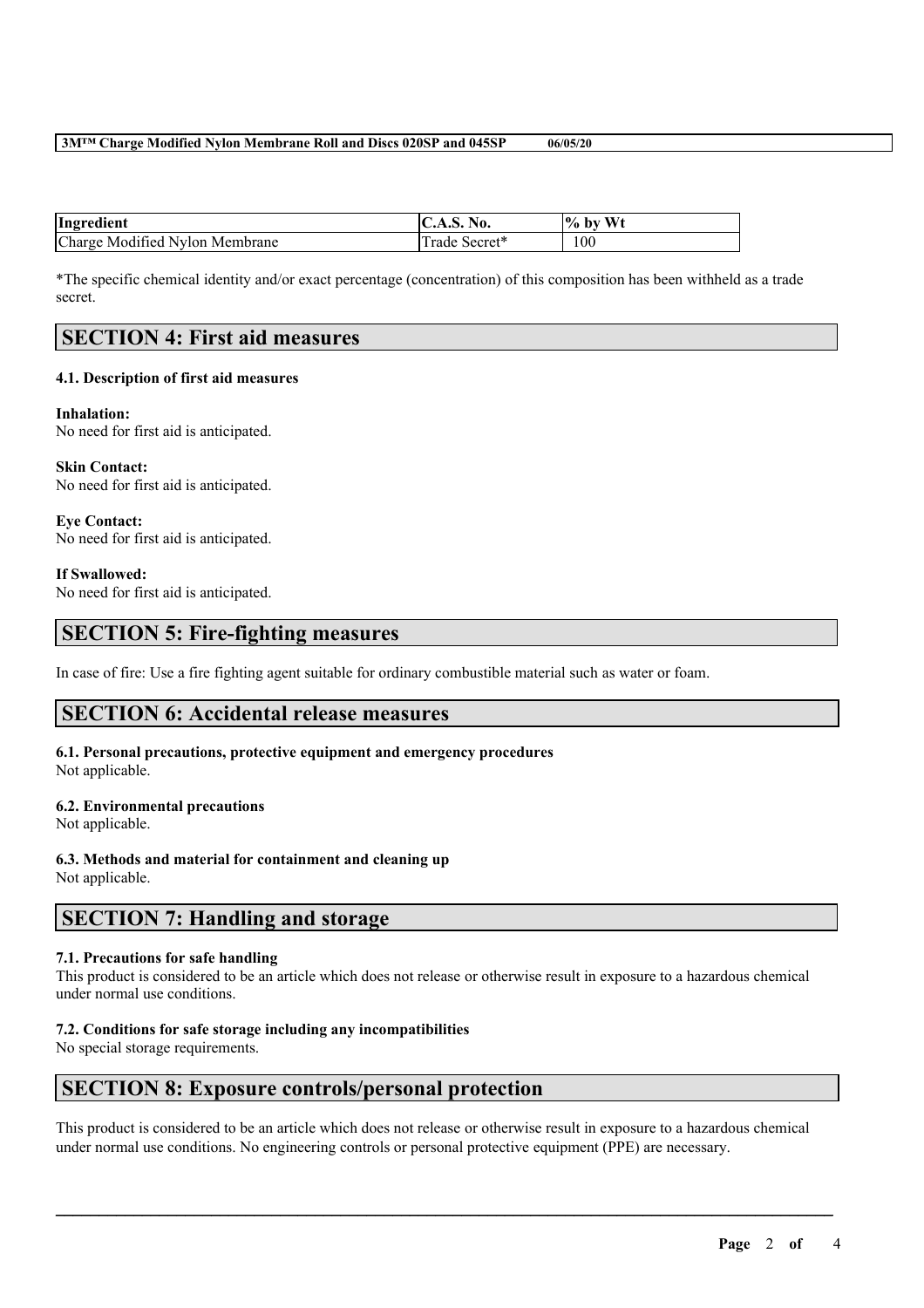#### **3M™ Charge Modified Nylon Membrane Roll and Discs 020SP and 045SP 06/05/20**

| Ingredient                     | N0.<br>C.A.5.1 | W <sub>1</sub><br>$%$ by |
|--------------------------------|----------------|--------------------------|
| Charge Modified Nylon Membrane | i rade Secret* | 100                      |

\*The specific chemical identity and/or exact percentage (concentration) of this composition has been withheld as a trade secret.

### **SECTION 4: First aid measures**

#### **4.1. Description of first aid measures**

**Inhalation:** No need for first aid is anticipated.

**Skin Contact:** No need for first aid is anticipated.

**Eye Contact:** No need for first aid is anticipated.

#### **If Swallowed:**

No need for first aid is anticipated.

### **SECTION 5: Fire-fighting measures**

In case of fire: Use a fire fighting agent suitable for ordinary combustible material such as water or foam.

### **SECTION 6: Accidental release measures**

**6.1. Personal precautions, protective equipment and emergency procedures** Not applicable.

#### **6.2. Environmental precautions**

Not applicable.

#### **6.3. Methods and material for containment and cleaning up**

Not applicable.

### **SECTION 7: Handling and storage**

#### **7.1. Precautions for safe handling**

This product is considered to be an article which does not release or otherwise result in exposure to a hazardous chemical under normal use conditions.

#### **7.2. Conditions for safe storage including any incompatibilities**

No special storage requirements.

### **SECTION 8: Exposure controls/personal protection**

This product is considered to be an article which does not release or otherwise result in exposure to a hazardous chemical under normal use conditions. No engineering controls or personal protective equipment (PPE) are necessary.

 $\mathcal{L}_\mathcal{L} = \mathcal{L}_\mathcal{L} = \mathcal{L}_\mathcal{L} = \mathcal{L}_\mathcal{L} = \mathcal{L}_\mathcal{L} = \mathcal{L}_\mathcal{L} = \mathcal{L}_\mathcal{L} = \mathcal{L}_\mathcal{L} = \mathcal{L}_\mathcal{L} = \mathcal{L}_\mathcal{L} = \mathcal{L}_\mathcal{L} = \mathcal{L}_\mathcal{L} = \mathcal{L}_\mathcal{L} = \mathcal{L}_\mathcal{L} = \mathcal{L}_\mathcal{L} = \mathcal{L}_\mathcal{L} = \mathcal{L}_\mathcal{L}$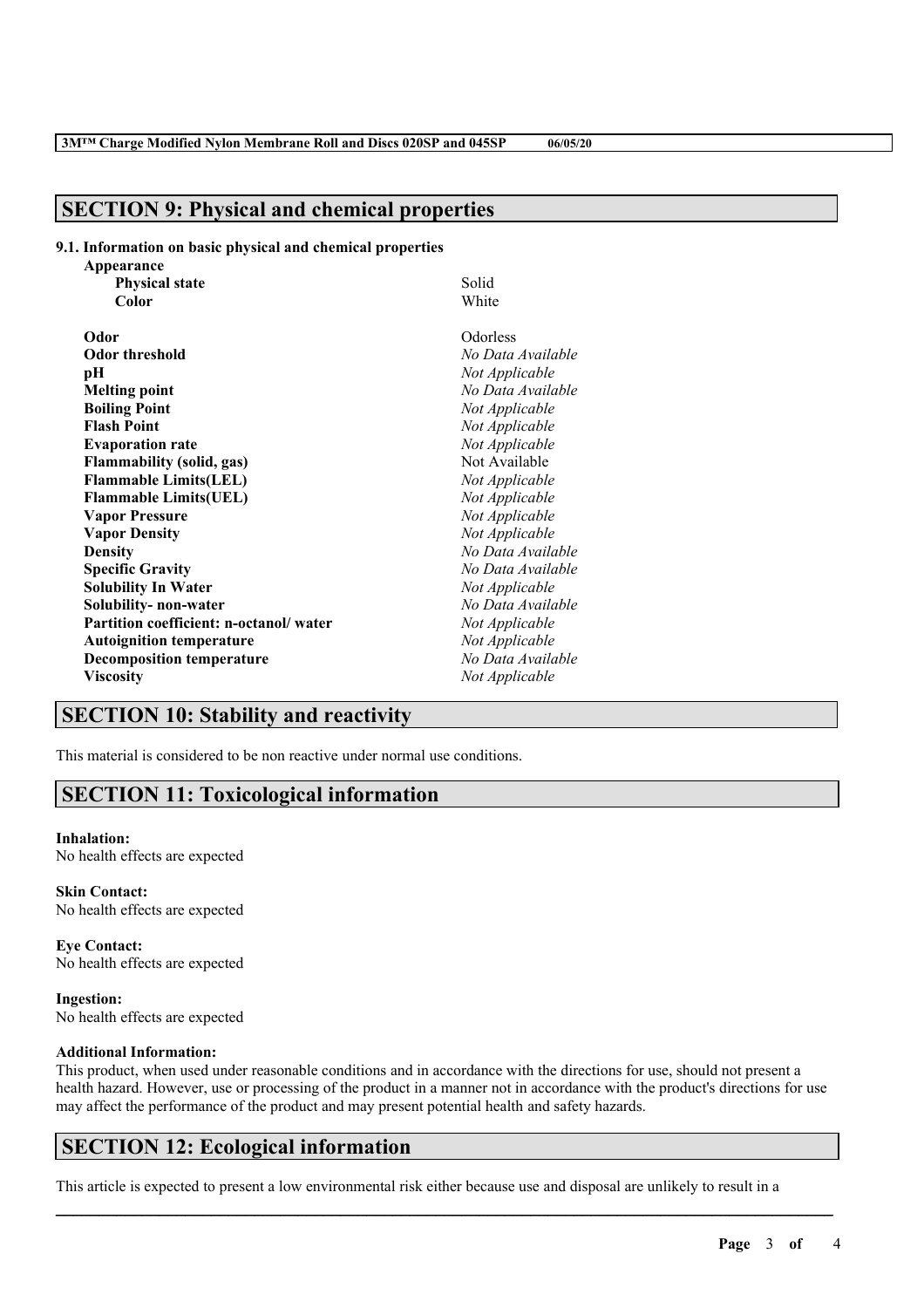### **SECTION 9: Physical and chemical properties**

#### **9.1. Information on basic physical and chemical properties**

| Appearance                             |                   |
|----------------------------------------|-------------------|
| <b>Physical state</b>                  | Solid             |
| Color                                  | White             |
| Odor                                   | Odorless          |
| <b>Odor threshold</b>                  | No Data Available |
| рH                                     | Not Applicable    |
| <b>Melting point</b>                   | No Data Available |
| <b>Boiling Point</b>                   | Not Applicable    |
| <b>Flash Point</b>                     | Not Applicable    |
| <b>Evaporation rate</b>                | Not Applicable    |
| <b>Flammability (solid, gas)</b>       | Not Available     |
| <b>Flammable Limits(LEL)</b>           | Not Applicable    |
| <b>Flammable Limits(UEL)</b>           | Not Applicable    |
| <b>Vapor Pressure</b>                  | Not Applicable    |
| <b>Vapor Density</b>                   | Not Applicable    |
| <b>Density</b>                         | No Data Available |
| <b>Specific Gravity</b>                | No Data Available |
| <b>Solubility In Water</b>             | Not Applicable    |
| Solubility-non-water                   | No Data Available |
| Partition coefficient: n-octanol/water | Not Applicable    |
| <b>Autoignition temperature</b>        | Not Applicable    |
| <b>Decomposition temperature</b>       | No Data Available |
| <b>Viscosity</b>                       | Not Applicable    |

### **SECTION 10: Stability and reactivity**

This material is considered to be non reactive under normal use conditions.

### **SECTION 11: Toxicological information**

#### **Inhalation:**

No health effects are expected

**Skin Contact:** No health effects are expected

**Eye Contact:** No health effects are expected

**Ingestion:** No health effects are expected

#### **Additional Information:**

This product, when used under reasonable conditions and in accordance with the directions for use, should not present a health hazard. However, use or processing of the product in a manner not in accordance with the product's directions for use may affect the performance of the product and may present potential health and safety hazards.

 $\mathcal{L}_\mathcal{L} = \mathcal{L}_\mathcal{L} = \mathcal{L}_\mathcal{L} = \mathcal{L}_\mathcal{L} = \mathcal{L}_\mathcal{L} = \mathcal{L}_\mathcal{L} = \mathcal{L}_\mathcal{L} = \mathcal{L}_\mathcal{L} = \mathcal{L}_\mathcal{L} = \mathcal{L}_\mathcal{L} = \mathcal{L}_\mathcal{L} = \mathcal{L}_\mathcal{L} = \mathcal{L}_\mathcal{L} = \mathcal{L}_\mathcal{L} = \mathcal{L}_\mathcal{L} = \mathcal{L}_\mathcal{L} = \mathcal{L}_\mathcal{L}$ 

### **SECTION 12: Ecological information**

This article is expected to present a low environmental risk either because use and disposal are unlikely to result in a